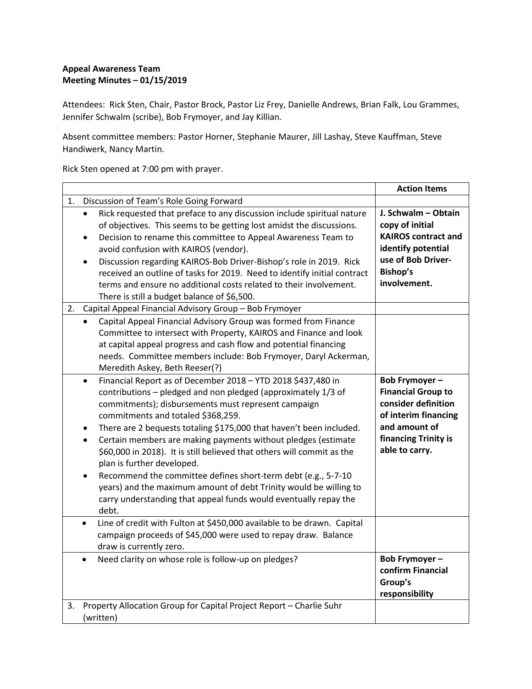## **Appeal Awareness Team Meeting Minutes – 01/15/2019**

Attendees: Rick Sten, Chair, Pastor Brock, Pastor Liz Frey, Danielle Andrews, Brian Falk, Lou Grammes, Jennifer Schwalm (scribe), Bob Frymoyer, and Jay Killian.

Absent committee members: Pastor Horner, Stephanie Maurer, Jill Lashay, Steve Kauffman, Steve Handiwerk, Nancy Martin.

Rick Sten opened at 7:00 pm with prayer.

|    |                                                                                                                                                                                                                                                                                                                                                                                                                                                                                                                                                                                                                                                                                                                 | <b>Action Items</b>                                                                                                                                  |
|----|-----------------------------------------------------------------------------------------------------------------------------------------------------------------------------------------------------------------------------------------------------------------------------------------------------------------------------------------------------------------------------------------------------------------------------------------------------------------------------------------------------------------------------------------------------------------------------------------------------------------------------------------------------------------------------------------------------------------|------------------------------------------------------------------------------------------------------------------------------------------------------|
| 1. | Discussion of Team's Role Going Forward                                                                                                                                                                                                                                                                                                                                                                                                                                                                                                                                                                                                                                                                         |                                                                                                                                                      |
|    | Rick requested that preface to any discussion include spiritual nature<br>of objectives. This seems to be getting lost amidst the discussions.<br>Decision to rename this committee to Appeal Awareness Team to<br>$\bullet$<br>avoid confusion with KAIROS (vendor).<br>Discussion regarding KAIROS-Bob Driver-Bishop's role in 2019. Rick<br>received an outline of tasks for 2019. Need to identify initial contract<br>terms and ensure no additional costs related to their involvement.<br>There is still a budget balance of \$6,500.                                                                                                                                                                    | J. Schwalm - Obtain<br>copy of initial<br><b>KAIROS contract and</b><br>identify potential<br>use of Bob Driver-<br><b>Bishop's</b><br>involvement.  |
| 2. | Capital Appeal Financial Advisory Group - Bob Frymoyer                                                                                                                                                                                                                                                                                                                                                                                                                                                                                                                                                                                                                                                          |                                                                                                                                                      |
|    | Capital Appeal Financial Advisory Group was formed from Finance<br>Committee to intersect with Property, KAIROS and Finance and look<br>at capital appeal progress and cash flow and potential financing<br>needs. Committee members include: Bob Frymoyer, Daryl Ackerman,<br>Meredith Askey, Beth Reeser(?)                                                                                                                                                                                                                                                                                                                                                                                                   |                                                                                                                                                      |
|    | Financial Report as of December 2018 - YTD 2018 \$437,480 in<br>$\bullet$<br>contributions - pledged and non pledged (approximately 1/3 of<br>commitments); disbursements must represent campaign<br>commitments and totaled \$368,259.<br>There are 2 bequests totaling \$175,000 that haven't been included.<br>٠<br>Certain members are making payments without pledges (estimate<br>\$60,000 in 2018). It is still believed that others will commit as the<br>plan is further developed.<br>Recommend the committee defines short-term debt (e.g., 5-7-10<br>years) and the maximum amount of debt Trinity would be willing to<br>carry understanding that appeal funds would eventually repay the<br>debt. | Bob Frymoyer-<br><b>Financial Group to</b><br>consider definition<br>of interim financing<br>and amount of<br>financing Trinity is<br>able to carry. |
|    | Line of credit with Fulton at \$450,000 available to be drawn. Capital<br>$\bullet$<br>campaign proceeds of \$45,000 were used to repay draw. Balance<br>draw is currently zero.                                                                                                                                                                                                                                                                                                                                                                                                                                                                                                                                |                                                                                                                                                      |
|    | Need clarity on whose role is follow-up on pledges?<br>$\bullet$                                                                                                                                                                                                                                                                                                                                                                                                                                                                                                                                                                                                                                                | Bob Frymoyer-<br>confirm Financial<br>Group's<br>responsibility                                                                                      |
| 3. | Property Allocation Group for Capital Project Report - Charlie Suhr<br>(written)                                                                                                                                                                                                                                                                                                                                                                                                                                                                                                                                                                                                                                |                                                                                                                                                      |